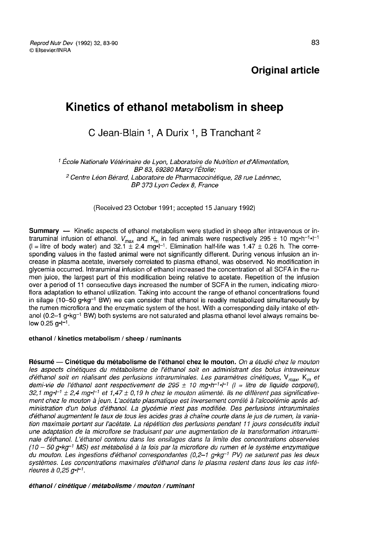# Kinetics of ethanol metabolism in sheep

C Jean-Blain 1, A Durix 1, B Tranchant 2

1 École Nationale Vétérinaire de Lyon, Laboratoire de Nutrition et d'Alimentation,<br>BP 83, 69280 Marcy l'Étoile;<br><sup>2</sup> Centre Léon Bérard, Laboratoire de Pharmacocinétique, 28 rue Laénnec,<br>BP 373 Lyon Cedex 8, France

(Received 23 October 1991; accepted 15 January 1992)

Summary ― Kinetic aspects of ethanol metabolism were studied in sheep after intravenous or intraruminal infusion of ethanol.  $V_{\text{max}}$  and  $K_{\text{m}}$  in fed animals were respectively 295 ± 10 mg·h<sup>-1</sup>·l<sup>-1</sup>  $(I =$  litre of body water) and 32.1  $\pm$  2.4 mg·l<sup>-1</sup>. Elimination half-life was 1.47  $\pm$  0.26 h. The corresponding values in the fasted animal were not significantly different. During venous infusion an increase in plasma acetate, inversely correlated to plasma ethanol, was observed. No modification in glycemia occurred. Intraruminal infusion of ethanol increased the concentration of all SCFA in the rumen juice, the largest part of this modification being relative to acetate. Repetition of the infusion over a period of 11 consecutive days increased the number of SCFA in the rumen, indicating micro-<br>flora adaptation to ethanol utilization. Taking into account the range of ethanol concentrations found<br>in silage (10–50 g-kg flora adaptation to ethanol utilization. Taking into account the range of ethanol concentrations found<br>in silage (10–50 g·kg<sup>-1</sup> BW) we can consider that ethanol is readily metabolized simultaneously by the rumen microflora and the enzymatic system of the host. With a corresponding daily intake of ethanol (0.2-1  $g$ -kg<sup>-1</sup> BW) both systems are not saturated and plasma ethanol level always remains below  $0.25$  g $-I^{-1}$ .

#### ethanol / kinetics metabolism / sheep / ruminants

Résumé — Cinétique du métabolisme de l'éthanol chez le mouton. On a étudié chez le mouton nesume — cinétique du métabolisme de l'éthanol citez le modion. On a endie chez le modion<br>d'éthanol soit en réalisant des perfusions intraruminales. Les paramètres cinétiques, V<sub>max</sub> K<sub>m</sub> et<br>demi-vie de l'éthanol sont resp d'éthanol soit en réalisant des perfusions intraruminales. Les paramètres cinétiques, V<sub>max</sub>, K<sub>m</sub> et<br>demi-vie de l'éthanol sont respectivement de 295 ± 10 mg-h<sup>-1</sup>+<sup>-1</sup> (l = litre de liquide corporel), 32,1 mg- $t^{-1}$   $\pm$  2,4 mg- $t^{-1}$  et 1,47  $\pm$  0,19 h chez le mouton alimenté. Ils ne diffèrent pas significativement chez le mouton à jeun. L'acétate plasmatique est inversement corrélé à l'alcoolémie après administration d'un bolus d'éthanol. La glycémie n'est pas modifiée. Des perfusions intraruminales d'éthanol augmentent le taux de tous les acides gras à chaîne courte dans le jus de rumen, la variation maximale portant sur l'acétate. La répétition des perfusions pendant 11 jours consécutifs induit une adaptation de la microflore se traduisant par une augmentation de la transformation intrarumi-<br>nale d'éthanol. L'éthanol contenu dans les ensilages dans la limite des concentrations observées<br>(10 – 50 g-kg<sup>-1</sup> MS) est nale d'éthanol. L'éthanol contenu dans les ensilages dans la limite des concentrations observées (10 – 50 g•kg<sup>-1</sup> MS) est métabolisé à la fois par la microflore du rumen et le système enzymatique<br>du mouton. Les ingestions d'éthanol correspondantes (0,2-1 g•kg<sup>-1</sup> PV) ne saturent pas les deux ou mouton. Les ingestions d'éthanol correspondantes (0,2–1 g•kg · F•v) ne saturent pas les deux<br>systèmes. Les concentrations maximales d'éthanol dans le plasma restent dans tous les cas infé-<br>rieures à 0,25 g•F<sup>1</sup>.

#### éthanol / cinétique / métabolisme / mouton / ruminant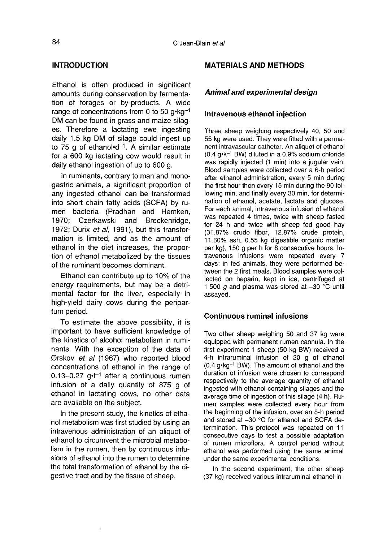# INTRODUCTION

Ethanol is often produced in significant amounts during conservation by fermentation of forages or by-products. A wide amounts during conservation by fermentation of forages or by-products. A wide<br>range of concentrations from 0 to 50 g-kg<sup>-1</sup><br>DM can be found in grass and maize silag-DM can be found in grass and maize silag es. Therefore a lactating ewe ingesting daily 1.5 kg DM of silage could ingest up<br>to 75 g of ethanol•d<sup>-1</sup>. A similar estimate tion of forages or by-products. A wide<br>range of concentrations from 0 to 50 g•kg<sup>-1</sup><br>DM can be found in grass and maize silag-<br>es. Therefore a lactating ewe ingesting<br>daily 1.5 kg DM of silage could ingest up<br>to 75 g of e for a 600 kg lactating cow would result in daily ethanol ingestion of up to 600 g.

In ruminants, contrary to man and monogastric animals, a significant proportion of any ingested ethanol can be transformed into short chain fatty acids (SCFA) by rumen bacteria (Pradhan and Hemken,<br>1970: Czerkawski and Breckenridge. Breckenridge, 1972; Durix  $et$  al, 1991), but this transformation is limited, and as the amount of ethanol in the diet increases, the proportion of ethanol metabolized by the tissues of the ruminant becomes dominant.

Ethanol can contribute up to 10% of the energy requirements, but may be a detrimental factor for the liver, especially in high-yield dairy cows during the peripartum period.

To estimate the above possibility, it is important to have sufficient knowledge of the kinetics of alcohol metabolism in ruminants. With the exception of the data of Ørskov et al (1967) who reported blood concentrations of ethanol in the range of 0.13-0.27 g. $l^{-1}$  after a continuous rumen infusion of a daily quantity of 875 g of ethanol in lactating cows, no other data are available on the subject.

In the present study, the kinetics of ethanol metabolism was first studied by using an intravenous administration of an aliquot of ethanol to circumvent the microbial metabolism in the rumen, then by continuous infusions of ethanol into the rumen to determine the total transformation of ethanol by the digestive tract and by the tissue of sheep.

# MATERIALS AND METHODS

#### Animal and experimental design

#### Intravenous ethanol injection

Three sheep weighing respectively 40, 50 and 55 kg were used. They were fitted with a permanent intravascular catheter. An aliquot of ethanol<br>(0.4 g-k<sup>-1</sup> BW) diluted in a 0.9% sodium chloride<br>was socially injocted (1 min) into a jugular vojn was rapidly injected (1 min) into a jugular vein. Blood samples were collected over a 6-h period after ethanol administration, every 5 min during the first hour then every 15 min during the 90 following min, and finally every 30 min, for determination of ethanol, acetate, lactate and glucose. For each animal, intravenous infusion of ethanol was repeated 4 times, twice with sheep fasted for 24 h and twice with sheep fed good hay (31.87% crude fiber, 12.87% crude protein, 11.60% ash, 0.55 kg digestible organic matter per kg), 150 g per h for 8 consecutive hours. Intravenous infusions were repeated every 7 days; in fed animals, they were performed between the 2 first meals. Blood samples were collected on heparin, kept in ice, centrifuged at 1 500 g and plasma was stored at  $-30$  °C until assayed.

# Continuous ruminal infusions

Two other sheep weighing 50 and 37 kg were equipped with permanent rumen cannula. In the first experiment 1 sheep (50 kg BW) received a 4-h intraruminal infusion of 20 g of ethanol first experiment 1 sheep (50 kg BW) received a<br>4-h intraruminal infusion of 20 g of ethanol<br>(0.4 g•kg<sup>-1</sup> BW). The amount of ethanol and the<br>duration of infusion were chosen to correspond duration of infusion were chosen to correspond respectively to the average quantity of ethanol ingested with ethanol containing silages and the average time of ingestion of this silage (4 h). Rumen samples were collected every hour from the beginning of the infusion, over an 8-h period and stored at -30 °C for ethanol and SCFA determination. This protocol was repeated on 11 consecutive days to test a possible adaptation of rumen microflora. A control period without ethanol was performed using the same animal under the same experimental conditions.

In the second experiment, the other sheep (37 kg) received various intraruminal ethanol in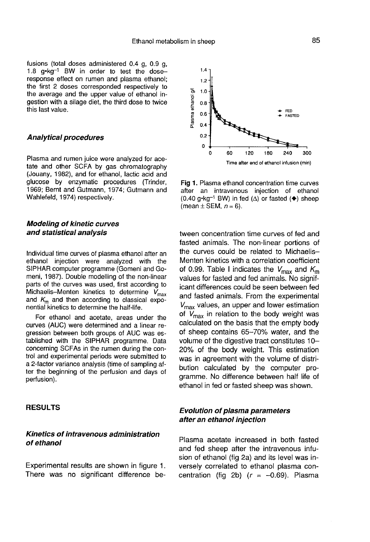fusions (total doses administered 0.4 g, 0.9 g,  $1.8$  g $\cdot$ kg $^{-1}$  BW in order to test the doseresponse effect on rumen and plasma ethanol; the first 2 doses corresponded respectively to the average and the upper value of ethanol ingestion with a silage diet, the third dose to twice this last value.

#### Analytical procedures

Plasma and rumen juice were analyzed for acetate and other SCFA by gas chromatography (Jouany, 1982), and for ethanol, lactic acid and glucose by enzymatic procedures (Trinder, 1969; Bernt and Gutmann, 1974; Gutmann and Wahlefeld, 1974) respectively.

#### Modeling of kinetic curves and statistical analysis

Individual time curves of plasma ethanol after an ethanol injection were analyzed with the SIPHAR computer programme (Gomeni and Gomeni, 1987). Double modelling of the non-linear parts of the curves was used, first according to Michaelis-Menten kinetics to determine  $V_{\text{max}}$ and  $K<sub>m</sub>$  and then according to classical exponential kinetics to determine the half-life.

For ethanol and acetate, areas under the curves (AUC) were determined and a linear regression between both groups of AUC was established with the SIPHAR programme. Data concerning SCFAs in the rumen during the control and experimental periods were submitted to a 2-factor variance analysis (time of sampling after the beginning of the perfusion and days of perfusion).

## RESULTS

### Kinetics of intravenous administration of ethanol

Experimental results are shown in figure 1. There was no significant difference be-



Fig 1. Plasma ethanol concentration time curves after an intravenous injection of ethanol (0.40 g•kg<sup>-1</sup> BW) in fed ( $\Delta$ ) or fasted ( $\blacklozenge$ ) sheep (mean  $\pm$  SEM,  $n = 6$ ).

tween concentration time curves of fed and fasted animals. The non-linear portions of the curves could be related to Michaelis-Menten kinetics with a correlation coefficient of 0.99. Table I indicates the  $V_{\text{max}}$  and  $K_{\text{m}}$ values for fasted and fed animals. No significant differences could be seen between fed and fasted animals. From the experimental  $V_{\text{max}}$  values, an upper and lower estimation of  $V_{\text{max}}$  in relation to the body weight was calculated on the basis that the empty body of sheep contains 65-70% water, and the volume of the digestive tract constitutes 10-20% of the body weight. This estimation was in agreement with the volume of distribution calculated by the computer programme. No difference between half life of ethanol in fed or fasted sheep was shown.

# Evolution of plasma parameters after an ethanol injection

Plasma acetate increased in both fasted and fed sheep after the intravenous infusion of ethanol (fig 2a) and its level was inversely correlated to ethanol plasma concentration (fig 2b)  $(r = -0.69)$ . Plasma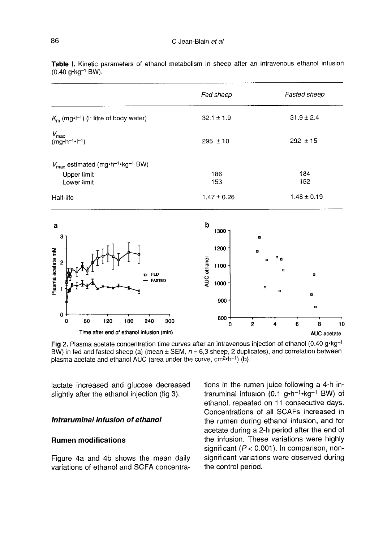|                                                                                                       | Fed sheep      | <b>Fasted sheep</b> |
|-------------------------------------------------------------------------------------------------------|----------------|---------------------|
| $K_m$ (mg•l <sup>-1</sup> ) (I: litre of body water)                                                  | $32.1 \pm 1.9$ | $31.9 \pm 2.4$      |
| $V_{\text{max}}$<br>(mg•h <sup>-1</sup> •l <sup>-1</sup> )                                            | $295 \pm 10$   | $292 \pm 15$        |
| $V_{\text{max}}$ estimated (mg · h <sup>-1</sup> · kg <sup>-1</sup> BW)<br>Upper limit<br>Lower limit | 186<br>153     | 184<br>152          |
| Half-life                                                                                             | $1.47 + 0.26$  | $1.48 \pm 0.19$     |

Table I. Kinetic parameters of ethanol metabolism in sheep after an intravenous ethanol infusion (0.40 a·ka<sup>-1</sup> BW).



Fig 2. Plasma acetate concentration time curves after an intravenous injection of ethanol (0.40 g-kg-1

lactate increased and glucose decreased slightly after the ethanol injection (fig 3).

### Intraruminal infusion of ethanol

# Rumen modifications

Figure 4a and 4b shows the mean daily variations of ethanol and SCFA concentrations in the rumen juice following a 4-h in-<br>traruminal infusion  $(0.1 \text{ g} \cdot \text{h}^{-1} \cdot \text{kg}^{-1}$  BW) of ve, cm<sup>2</sup>·h<sup>-1</sup>) (b).<br>tions in the rumen juice following a 4-h in-<br>traruminal infusion (0.1 g·h<sup>-1</sup>·kg<sup>-1</sup> BW) of<br>ethanol, repeated on 11 consecutive days. Concentrations of all SCAFs increased in the rumen during ethanol infusion, and for acetate during a 2-h period after the end of the infusion. These variations were highly significant ( $P < 0.001$ ). In comparison, nonsignificant variations were observed during the control period.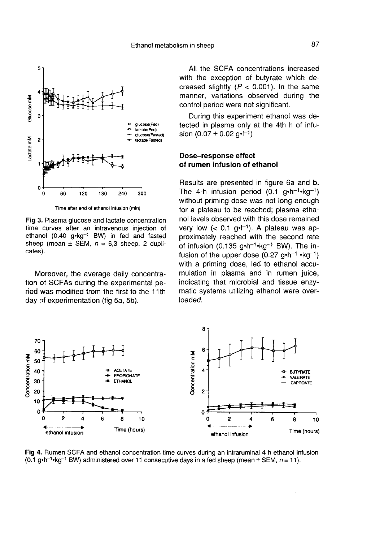

Time after end of ethanol infusion (min)

Fig 3. Plasma glucose and lactate concentration time curves after an intravenous injection of ethanol (0.40 g·kg<sup>-1</sup> BW) in fed and fasted sheep (mean  $\pm$  SEM,  $n = 6.3$  sheep, 2 duplicates).

Moreover, the average daily concentration of SCFAs during the experimental period was modified from the first to the 11 th day of experimentation (fig 5a, 5b).

All the SCFA concentrations increased with the exception of butyrate which decreased slightly  $(P < 0.001)$ . In the same manner, variations observed during the control period were not significant.

During this experiment ethanol was detected in plasma only at the 4th h of infubut the experiment discreted in plasma only<br>sion  $(0.07 \pm 0.02 \text{ g} \cdot \text{m}^{-1})$ 

# Dose-response effect of rumen infusion of ethanol

Results are presented in figure 6a and b. without priming dose was not long enough<br>without priming dose was not long enough The 4-h infusion (0.1 6a and b.<br>g•h<sup>-1</sup>•kg<sup>-1</sup>)<br>ing enough for a plateau to be reached; plasma ethanol levels observed with this dose remained for a plateau to be reached; plasma etha-<br>nol levels observed with this dose remained<br>very low  $(< 0.1$  g·l<sup>-1</sup>). A plateau was ap-<br>proximately reached with the second rate<br>of infusion (0.135 g·h<sup>-1</sup>·kg<sup>-1</sup> BW). The in-<br>fu proximately reached with the second rate<br>of infusion  $(0.135 \text{ }\alpha \cdot \text{h}^{-1} \cdot \text{ka}^{-1} \text{ }BW)$ . The infusion of the upper dose  $(0.27 \text{ g} \cdot \text{h}^{-1} \cdot \text{kg}^{-1})$ with a priming dose, led to ethanol accumulation in plasma and in rumen juice, indicating that microbial and tissue enzymatic systems utilizing ethanol were overloaded.



Fig 4. Rumen SCFA and ethanol concentration time curves during an intraruminal 4 h ethanol infusion  $(0.1 g \cdot h^{-1} \cdot kg^{-1}$  BW) administered over 11 consecutive days in a fed sheep (mean  $\pm$  SEM,  $n = 11$ ).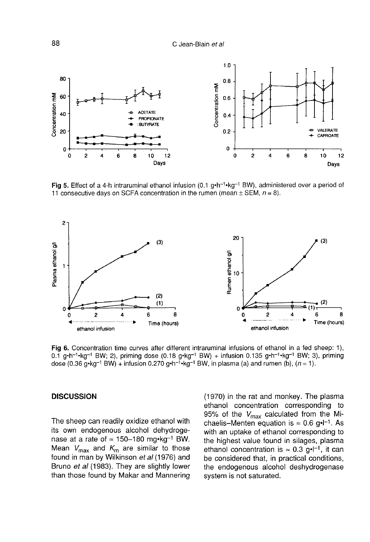C Jean-Blain et al



Fig 5. Effect of a 4-h intraruminal ethanol infusion (0.1  $q \cdot h^{-1} \cdot kq^{-1}$  BW), administered over a period of 11 consecutive days on SCFA concentration in the rumen (mean  $\pm$  SEM,  $n = 8$ ).



Fig 6. Concentration time curves after different intraruminal infusions of ethanol in a fed sheep: 1), 0.1 g-h<sup>-1</sup>-kg<sup>-1</sup> BW; 2), priming dose (0.18 g-kg<sup>-1</sup> BW) + infusion 0.135 g-h<sup>-1</sup>-kg<sup>-1</sup> BW; 3), priming dose (0.36  $q$ -kg<sup>-1</sup> BW) + infusion 0.270  $q$ -h<sup>-1</sup>-kg<sup>-1</sup> BW, in plasma (a) and rumen (b),  $(n = 1)$ .

#### **DISCUSSION**

The sheep can readily oxidize ethanol with its own endogenous alcohol dehydroge-<br>nase at a rate of  $\approx$  150-180 mg·kg<sup>-1</sup> BW. The sheep can readily oxidize ethanol with<br>its own endogenous alcohol dehydroge-<br>nase at a rate of  $\approx 150-180$  mg-kg<sup>-1</sup> BW.<br>Mean  $V_{\text{max}}$  and  $K_{\text{m}}$  are similar to those found in man by Wilkinson et al (1976) and Bruno et al (1983). They are slightly lower than those found by Makar and Mannering

(1970) in the rat and monkey. The plasma ethanol concentration corresponding to 95% of the  $V_{\text{max}}$  calculated from the Michaelis-Menten equation is  $\approx 0.6$  g.  $^{-1}$ . As with an uptake of ethanol corresponding to which are update of ethanol corresponding to<br>the highest value found in silages, plasma<br>ethanol concentration is  $\approx 0.3$  g·l<sup>-1</sup>, it can<br>be considered that, in practical conditions be considered that, in practical conditions, the endogenous alcohol deshydrogenase system is not saturated.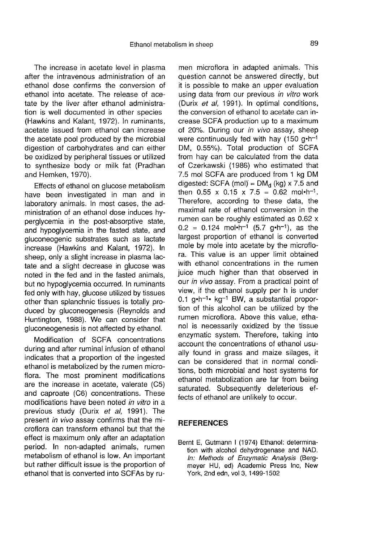The increase in acetate level in plasma after the intravenous administration of an ethanol dose confirms the conversion of ethanol into acetate. The release of acetate by the liver after ethanol administration is well documented in other species (Hawkins and Kalant, 1972). In ruminants, acetate issued from ethanol can increase the acetate pool produced by the microbial digestion of carbohydrates and can either be oxidized by peripheral tissues or utilized to synthesize body or milk fat (Pradhan and Hemken, 1970).

Effects of ethanol on glucose metabolism have been investigated in man and in laboratory animals. In most cases, the administration of an ethanol dose induces hyperglycemia in the post-absorptive state, and hypoglycemia in the fasted state, and gluconeogenic substrates such as lactate increase (Hawkins and Kalant, 1972). In sheep, only a slight increase in plasma lactate and a slight decrease in glucose was noted in the fed and in the fasted animals, but no hypoglycemia occurred. In ruminants fed only with hay, glucose utilized by tissues other than splanchnic tissues is totally produced by gluconeogenesis (Reynolds and Huntington, 1988). We can consider that gluconeogenesis is not affected by ethanol.

Modification of SCFA concentrations during and after ruminal infusion of ethanol indicates that a proportion of the ingested ethanol is metabolized by the rumen microflora. The most prominent modifications are the increase in acetate, valerate (C5) and caproate (C6) concentrations. These modifications have been noted in vitro in a previous study (Durix et al, 1991). The present in vivo assay confirms that the microflora can transform ethanol but that the effect is maximum only after an adaptation period. In non-adapted animals, rumen metabolism of ethanol is low. An important but rather difficult issue is the proportion of ethanol that is converted into SCFAs by ru-

men microflora in adapted animals. This question cannot be answered directly, but it is possible to make an upper evaluation using data from our previous in vitro work (Durix et al, 1991). In optimal conditions, the conversion of ethanol to acetate can increase SCFA production up to a maximum of 20%. During our *in vivo* assay, sheep<br>were continuously fed with hay (150 g-h<sup>-1</sup><br>DM, 0.55%). Total production of SCEA DM, 0.55%). Total production of SCFA from hay can be calculated from the data of Czerkawski (1986) who estimated that 7.5 mol SCFA are produced from 1 kg DM<br>digested: SCFA (mol) =  $DM_d$  (kg) x 7.5 and<br>then 0.55 x 0.15 x 7.5 and 0.63 mol-h-1 then 0.55 x 0.15 x 7.5 = 0.62 mol•h<sup>-1</sup>. Therefore, according to these data, the maximal rate of ethanol conversion in the rumen can be roughly estimated as 0.62 x  $0.2 = 0.124$  mol-h<sup>-1</sup> (5.7 g-h<sup>-1</sup>), as the largest proportion of ethanol is converted mole by mole into acetate by the microflora. This value is an upper limit obtained with ethanol concentrations in the rumen juice much higher than that observed in our in vivo assay. From a practical point of view, if the ethanol supply per h is under our *in vivo* assay. From a practical point of<br>view, if the ethanol supply per h is under<br>0.1 g-h<sup>-1</sup> kg<sup>-1</sup> BW, a substantial propor-<br>tion of this alcohol can be utilized by the tion of this alcohol can be utilized by the rumen microflora. Above this value, ethanol is necessarily oxidized by the tissue enzymatic system. Therefore, taking into account the concentrations of ethanol usually found in grass and maize silages, it can be considered that in normal conditions, both microbial and host systems for ethanol metabolization are far from being saturated. Subsequently deleterious effects of ethanol are unlikely to occur.

# REFERENCES

Bernt E, Gutmann I (1974) Ethanol: determination with alcohol dehydrogenase and NAD. In: Methods of Enzymatic Analysis (Bergmeyer HU, ed) Academic Press Inc, New York, 2nd edn, vol 3, 1499-1502